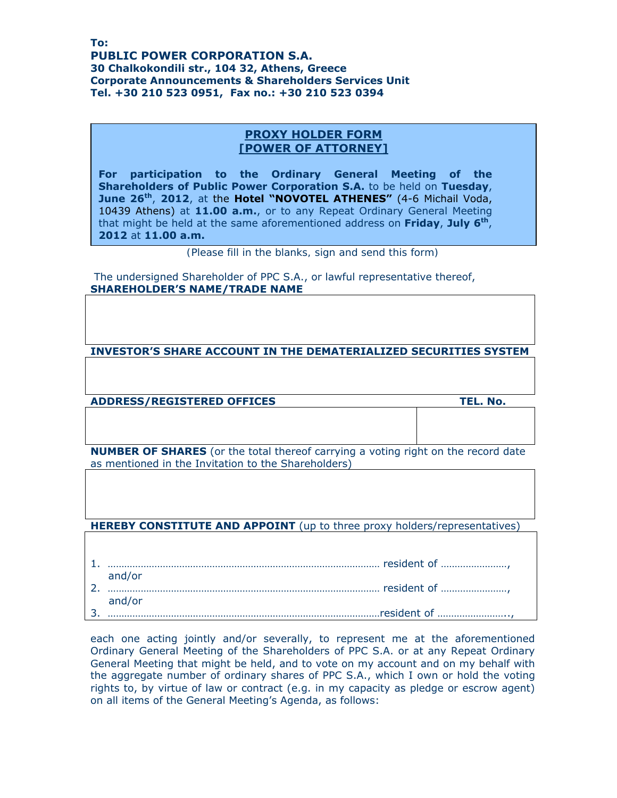**Το: PUBLIC POWER CORPORATION S.A. 30 Chalkokondili str., 104 32, Athens, Greece Corporate Announcements & Shareholders Services Unit Τel. +30 210 523 0951, Fax no.: +30 210 523 0394** 

## **PROXY HOLDER FORM [POWER OF ATTORNEY]**

**For participation to the Ordinary General Meeting of the Shareholders of Public Power Corporation S.A.** to be held on **Tuesday**, **June 26th**, **2012**, at the **Hotel "NOVOTEL ATHENES"** (4-6 Michail Voda, 10439 Athens) at **11.00 a.m.**, or to any Repeat Ordinary General Meeting that might be held at the same aforementioned address on **Friday**, **July 6th**, **2012** at **11.00 a.m.**

*(Please fill in the blanks, sign and send this form)* 

 The undersigned Shareholder of PPC S.A., or lawful representative thereof, **SHAREHOLDER'S NAME/TRADE NAME** 

**INVESTOR'S SHARE ACCOUNT IN THE DEMATERIALIZED SECURITIES SYSTEM** 

**ADDRESS/REGISTERED OFFICES TEL. No.**

**NUMBER OF SHARES** (or the total thereof carrying a voting right on the record date as mentioned in the Invitation to the Shareholders)

**HEREBY CONSTITUTE AND APPOINT** (up to three proxy holders/representatives)

| and/or |
|--------|
|        |
| and/or |
|        |

each one acting jointly and/or severally, to represent me at the aforementioned Ordinary General Meeting of the Shareholders of PPC S.A. or at any Repeat Ordinary General Meeting that might be held, and to vote on my account and on my behalf with the aggregate number of ordinary shares of PPC S.A., which I own or hold the voting rights to, by virtue of law or contract (e.g. in my capacity as pledge or escrow agent) on all items of the General Meeting's Agenda, as follows: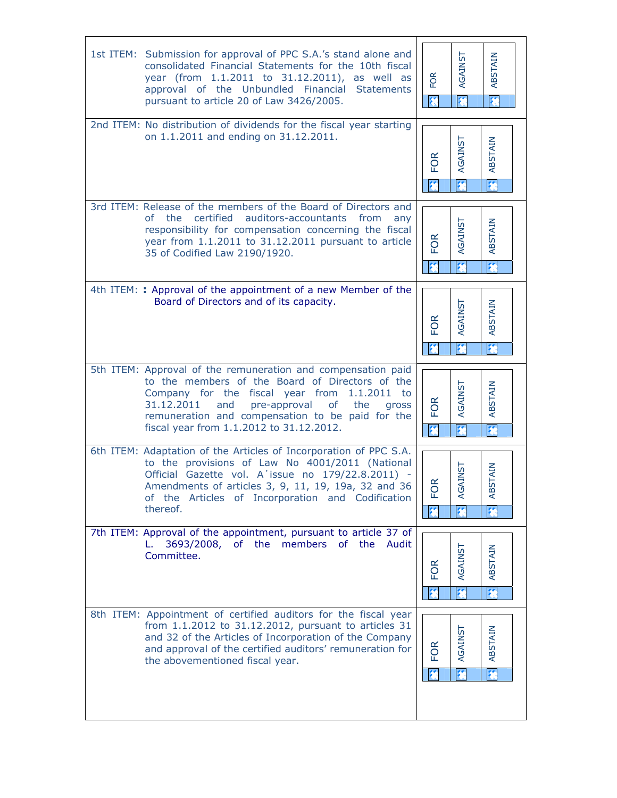| 1st ITEM: Submission for approval of PPC S.A.'s stand alone and<br>consolidated Financial Statements for the 10th fiscal<br>year (from 1.1.2011 to 31.12.2011), as well as<br>approval of the Unbundled Financial<br><b>Statements</b><br>pursuant to article 20 of Law 3426/2005.                                              | <b>FOR</b> | AGAINST<br>參                              | ABSTAIN<br>參                       |
|---------------------------------------------------------------------------------------------------------------------------------------------------------------------------------------------------------------------------------------------------------------------------------------------------------------------------------|------------|-------------------------------------------|------------------------------------|
| 2nd ITEM: No distribution of dividends for the fiscal year starting<br>on 1.1.2011 and ending on 31.12.2011.                                                                                                                                                                                                                    | FOR        | <b>AGAINST</b>                            | <b>ABSTAIN</b><br>终                |
| 3rd ITEM: Release of the members of the Board of Directors and<br>of the certified auditors-accountants from<br>any<br>responsibility for compensation concerning the fiscal<br>year from 1.1.2011 to 31.12.2011 pursuant to article<br>35 of Codified Law 2190/1920.                                                           | <b>FOR</b> | <b>AGAINST</b><br>热                       | ABSTAIN<br>抔                       |
| 4th ITEM: : Approval of the appointment of a new Member of the<br>Board of Directors and of its capacity.                                                                                                                                                                                                                       | FOR        | AGAINST                                   | ABSTAIN<br>笩                       |
| 5th ITEM: Approval of the remuneration and compensation paid<br>to the members of the Board of Directors of the<br>Company for the fiscal year from<br>$1.1.2011$ to<br>31.12.2011<br>of<br>the<br>and<br>pre-approval<br>gross<br>remuneration and compensation to be paid for the<br>fiscal year from 1.1.2012 to 31.12.2012. | FOR        | <b>AGAINST</b><br>$\overline{\mathbf{z}}$ | ABSTAIN<br>$\overline{\mathbf{z}}$ |
| 6th ITEM: Adaptation of the Articles of Incorporation of PPC S.A.<br>to the provisions of Law No 4001/2011 (National<br>Official Gazette vol. A'issue no 179/22.8.2011) -<br>Amendments of articles 3, 9, 11, 19, 19a, 32 and 36<br>of the Articles of Incorporation and Codification<br>thereof.                               | g<br>正     | <b>GAINST</b><br>₹                        | <b>BSTAIN</b><br>₹                 |
| 7th ITEM: Approval of the appointment, pursuant to article 37 of<br>3693/2008, of the members of the<br>Audit<br>L.<br>Committee.                                                                                                                                                                                               | ΘŔ<br>ш.   | AGAINST                                   | ABSTAIN<br>笩                       |
| 8th ITEM: Appointment of certified auditors for the fiscal year<br>from 1.1.2012 to 31.12.2012, pursuant to articles 31<br>and 32 of the Articles of Incorporation of the Company<br>and approval of the certified auditors' remuneration for<br>the abovementioned fiscal year.                                                | FOR        | <b>AGAINST</b><br>參                       | ABSTAIN<br>芥                       |